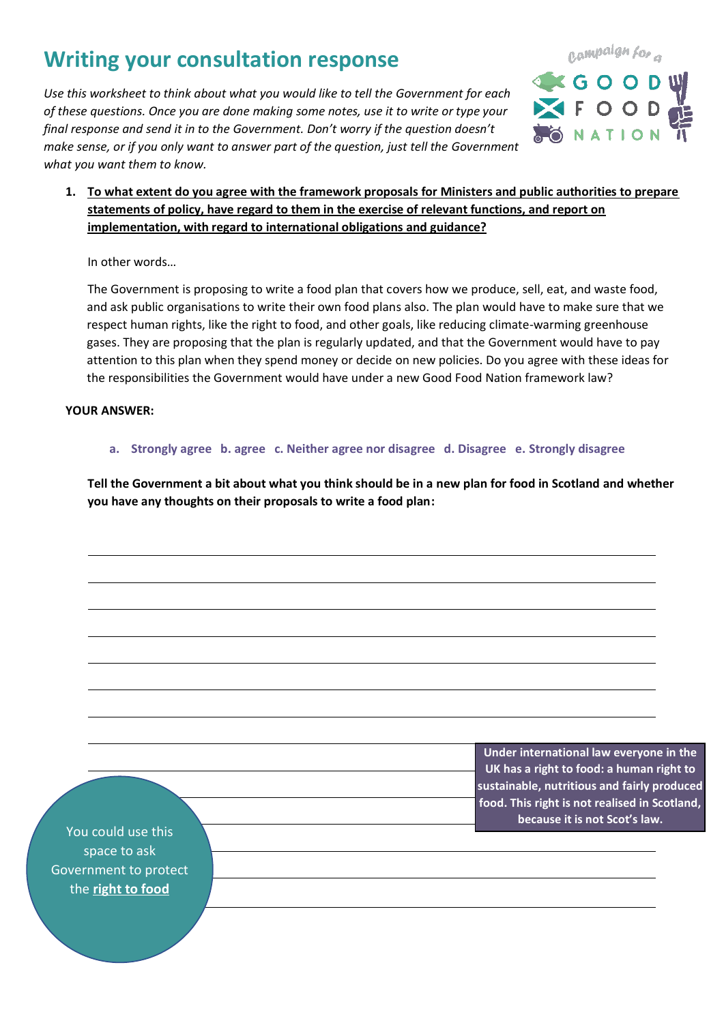# **Writing your consultation response**

*Use this worksheet to think about what you would like to tell the Government for each of these questions. Once you are done making some notes, use it to write or type your final response and send it in to the Government. Don't worry if the question doesn't make sense, or if you only want to answer part of the question, just tell the Government what you want them to know.*



**1. To what extent do you agree with the framework proposals for Ministers and public authorities to prepare statements of policy, have regard to them in the exercise of relevant functions, and report on implementation, with regard to international obligations and guidance?**

In other words…

The Government is proposing to write a food plan that covers how we produce, sell, eat, and waste food, and ask public organisations to write their own food plans also. The plan would have to make sure that we respect human rights, like the right to food, and other goals, like reducing climate-warming greenhouse gases. They are proposing that the plan is regularly updated, and that the Government would have to pay attention to this plan when they spend money or decide on new policies. Do you agree with these ideas for the responsibilities the Government would have under a new Good Food Nation framework law?

### **YOUR ANSWER:**

**a. Strongly agree b. agree c. Neither agree nor disagree d. Disagree e. Strongly disagree**

**Tell the Government a bit about what you think should be in a new plan for food in Scotland and whether you have any thoughts on their proposals to write a food plan:**

> **Under international law everyone in the UK has a right to food: a human right to sustainable, nutritious and fairly produced food. This right is not realised in Scotland, because it is not Scot's law.**

You could use this space to ask Government to protect the **right to food**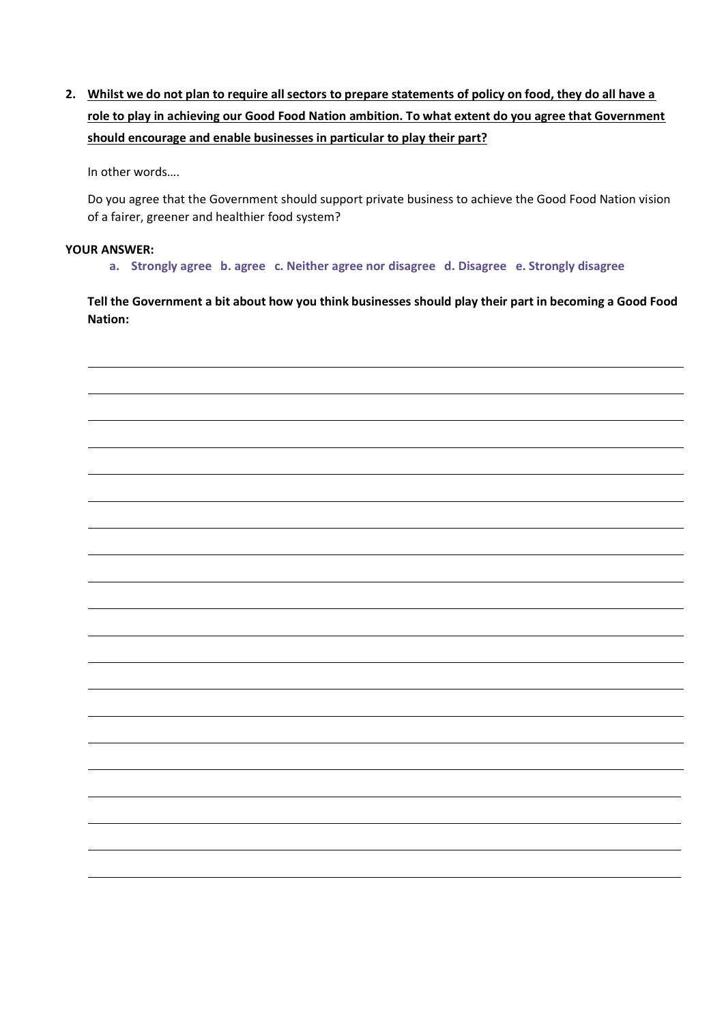**2. Whilst we do not plan to require all sectors to prepare statements of policy on food, they do all have a role to play in achieving our Good Food Nation ambition. To what extent do you agree that Government should encourage and enable businesses in particular to play their part?** 

In other words….

Do you agree that the Government should support private business to achieve the Good Food Nation vision of a fairer, greener and healthier food system?

#### **YOUR ANSWER:**

**a. Strongly agree b. agree c. Neither agree nor disagree d. Disagree e. Strongly disagree**

**Tell the Government a bit about how you think businesses should play their part in becoming a Good Food Nation:**

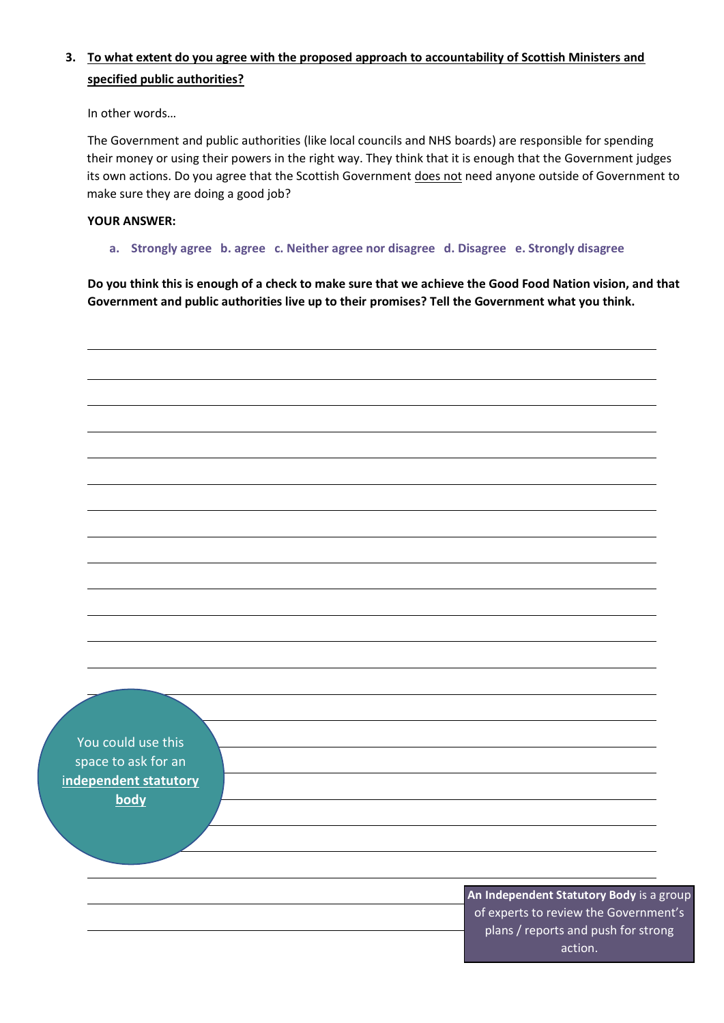# **3. To what extent do you agree with the proposed approach to accountability of Scottish Ministers and specified public authorities?**

In other words…

The Government and public authorities (like local councils and NHS boards) are responsible for spending their money or using their powers in the right way. They think that it is enough that the Government judges its own actions. Do you agree that the Scottish Government does not need anyone outside of Government to make sure they are doing a good job?

## **YOUR ANSWER:**

**a. Strongly agree b. agree c. Neither agree nor disagree d. Disagree e. Strongly disagree**

**Do you think this is enough of a check to make sure that we achieve the Good Food Nation vision, and that Government and public authorities live up to their promises? Tell the Government what you think.**